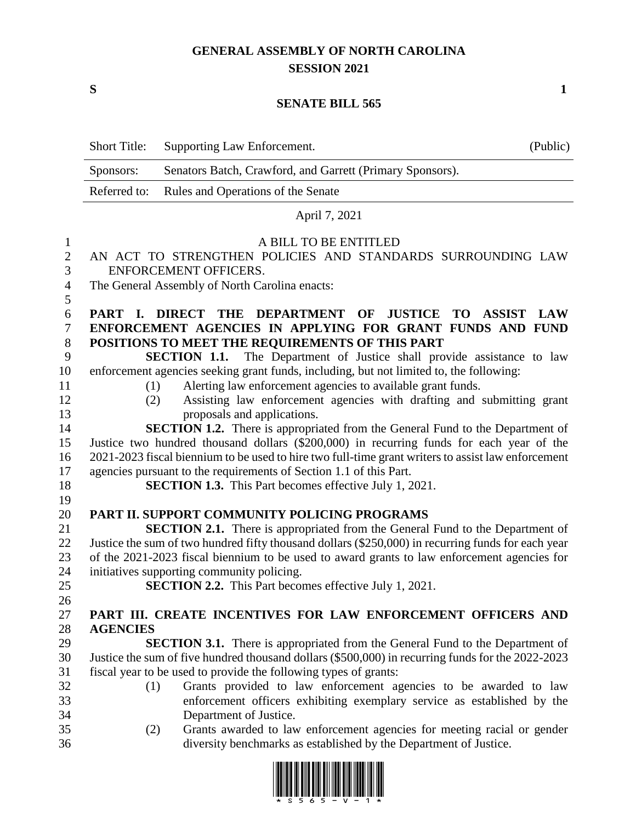## **GENERAL ASSEMBLY OF NORTH CAROLINA SESSION 2021**

**S 1**

## **SENATE BILL 565**

|                  | <b>Short Title:</b> | Supporting Law Enforcement.                                                                                                                                              | (Public)   |
|------------------|---------------------|--------------------------------------------------------------------------------------------------------------------------------------------------------------------------|------------|
|                  | Sponsors:           | Senators Batch, Crawford, and Garrett (Primary Sponsors).                                                                                                                |            |
|                  | Referred to:        | Rules and Operations of the Senate                                                                                                                                       |            |
|                  |                     | April 7, 2021                                                                                                                                                            |            |
| 1                |                     | A BILL TO BE ENTITLED                                                                                                                                                    |            |
| $\overline{2}$   |                     | AN ACT TO STRENGTHEN POLICIES AND STANDARDS SURROUNDING LAW                                                                                                              |            |
| 3                |                     | ENFORCEMENT OFFICERS.                                                                                                                                                    |            |
| $\overline{4}$   |                     | The General Assembly of North Carolina enacts:                                                                                                                           |            |
| 5                |                     |                                                                                                                                                                          |            |
| 6                | PART I.             | DIRECT THE DEPARTMENT OF<br><b>JUSTICE TO ASSIST</b>                                                                                                                     | <b>LAW</b> |
| $\boldsymbol{7}$ |                     | ENFORCEMENT AGENCIES IN APPLYING FOR GRANT FUNDS AND FUND                                                                                                                |            |
| 8                |                     | POSITIONS TO MEET THE REQUIREMENTS OF THIS PART                                                                                                                          |            |
| 9<br>10          |                     | <b>SECTION 1.1.</b> The Department of Justice shall provide assistance to law<br>enforcement agencies seeking grant funds, including, but not limited to, the following: |            |
| 11               | (1)                 | Alerting law enforcement agencies to available grant funds.                                                                                                              |            |
| 12               | (2)                 | Assisting law enforcement agencies with drafting and submitting grant                                                                                                    |            |
| 13               |                     | proposals and applications.                                                                                                                                              |            |
| 14               |                     | <b>SECTION 1.2.</b> There is appropriated from the General Fund to the Department of                                                                                     |            |
| 15               |                     | Justice two hundred thousand dollars (\$200,000) in recurring funds for each year of the                                                                                 |            |
| 16               |                     | 2021-2023 fiscal biennium to be used to hire two full-time grant writers to assist law enforcement                                                                       |            |
| 17               |                     | agencies pursuant to the requirements of Section 1.1 of this Part.                                                                                                       |            |
| 18               |                     | <b>SECTION 1.3.</b> This Part becomes effective July 1, 2021.                                                                                                            |            |
| 19               |                     |                                                                                                                                                                          |            |
| 20               |                     | PART II. SUPPORT COMMUNITY POLICING PROGRAMS                                                                                                                             |            |
| 21               |                     | <b>SECTION 2.1.</b> There is appropriated from the General Fund to the Department of                                                                                     |            |
| 22               |                     | Justice the sum of two hundred fifty thousand dollars (\$250,000) in recurring funds for each year                                                                       |            |
| 23               |                     | of the 2021-2023 fiscal biennium to be used to award grants to law enforcement agencies for                                                                              |            |
| 24               |                     | initiatives supporting community policing.                                                                                                                               |            |
| 25               |                     | <b>SECTION 2.2.</b> This Part becomes effective July 1, 2021.                                                                                                            |            |
| 26<br>27         |                     | PART III. CREATE INCENTIVES FOR LAW ENFORCEMENT OFFICERS AND                                                                                                             |            |
| 28               | <b>AGENCIES</b>     |                                                                                                                                                                          |            |
| 29               |                     | <b>SECTION 3.1.</b> There is appropriated from the General Fund to the Department of                                                                                     |            |
| 30               |                     | Justice the sum of five hundred thousand dollars (\$500,000) in recurring funds for the 2022-2023                                                                        |            |
| 31               |                     | fiscal year to be used to provide the following types of grants:                                                                                                         |            |
| 32               | (1)                 | Grants provided to law enforcement agencies to be awarded to law                                                                                                         |            |
| 33               |                     | enforcement officers exhibiting exemplary service as established by the                                                                                                  |            |
| 34               |                     | Department of Justice.                                                                                                                                                   |            |
| 35               | (2)                 | Grants awarded to law enforcement agencies for meeting racial or gender                                                                                                  |            |
| 36               |                     | diversity benchmarks as established by the Department of Justice.                                                                                                        |            |

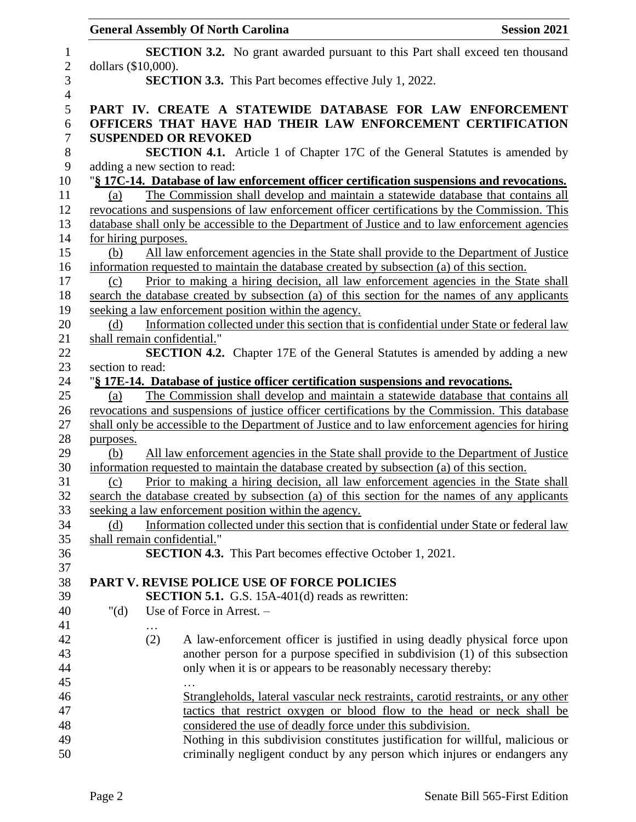|                     | <b>General Assembly Of North Carolina</b> |                                                                                           | <b>Session 2021</b>                                                                              |
|---------------------|-------------------------------------------|-------------------------------------------------------------------------------------------|--------------------------------------------------------------------------------------------------|
|                     |                                           |                                                                                           | <b>SECTION 3.2.</b> No grant awarded pursuant to this Part shall exceed ten thousand             |
| dollars (\$10,000). |                                           |                                                                                           |                                                                                                  |
|                     |                                           | <b>SECTION 3.3.</b> This Part becomes effective July 1, 2022.                             |                                                                                                  |
|                     |                                           |                                                                                           | PART IV. CREATE A STATEWIDE DATABASE FOR LAW ENFORCEMENT                                         |
|                     |                                           |                                                                                           | OFFICERS THAT HAVE HAD THEIR LAW ENFORCEMENT CERTIFICATION                                       |
|                     | <b>SUSPENDED OR REVOKED</b>               |                                                                                           |                                                                                                  |
|                     |                                           |                                                                                           | <b>SECTION 4.1.</b> Article 1 of Chapter 17C of the General Statutes is amended by               |
|                     | adding a new section to read:             |                                                                                           |                                                                                                  |
|                     |                                           |                                                                                           | "§ 17C-14. Database of law enforcement officer certification suspensions and revocations.        |
| (a)                 |                                           |                                                                                           | The Commission shall develop and maintain a statewide database that contains all                 |
|                     |                                           |                                                                                           | revocations and suspensions of law enforcement officer certifications by the Commission. This    |
|                     |                                           |                                                                                           | database shall only be accessible to the Department of Justice and to law enforcement agencies   |
|                     | for hiring purposes.                      |                                                                                           |                                                                                                  |
| (b)                 |                                           |                                                                                           | All law enforcement agencies in the State shall provide to the Department of Justice             |
|                     |                                           | information requested to maintain the database created by subsection (a) of this section. |                                                                                                  |
| (c)                 |                                           |                                                                                           | Prior to making a hiring decision, all law enforcement agencies in the State shall               |
|                     |                                           |                                                                                           | search the database created by subsection (a) of this section for the names of any applicants    |
|                     |                                           | seeking a law enforcement position within the agency.                                     |                                                                                                  |
| (d)                 |                                           |                                                                                           | Information collected under this section that is confidential under State or federal law         |
|                     | shall remain confidential."               |                                                                                           |                                                                                                  |
|                     |                                           |                                                                                           | SECTION 4.2. Chapter 17E of the General Statutes is amended by adding a new                      |
| section to read:    |                                           |                                                                                           |                                                                                                  |
|                     |                                           | "§ 17E-14. Database of justice officer certification suspensions and revocations.         |                                                                                                  |
| (a)                 |                                           |                                                                                           | The Commission shall develop and maintain a statewide database that contains all                 |
|                     |                                           |                                                                                           | revocations and suspensions of justice officer certifications by the Commission. This database   |
|                     |                                           |                                                                                           | shall only be accessible to the Department of Justice and to law enforcement agencies for hiring |
| purposes.<br>(b)    |                                           |                                                                                           | All law enforcement agencies in the State shall provide to the Department of Justice             |
|                     |                                           | information requested to maintain the database created by subsection (a) of this section. |                                                                                                  |
|                     |                                           |                                                                                           | Prior to making a hiring decision, all law enforcement agencies in the State shall               |
| $\Omega$            |                                           |                                                                                           | search the database created by subsection (a) of this section for the names of any applicants    |
|                     |                                           | seeking a law enforcement position within the agency.                                     |                                                                                                  |
| (d)                 |                                           |                                                                                           | Information collected under this section that is confidential under State or federal law         |
|                     | shall remain confidential."               |                                                                                           |                                                                                                  |
|                     |                                           | <b>SECTION 4.3.</b> This Part becomes effective October 1, 2021.                          |                                                                                                  |
|                     |                                           |                                                                                           |                                                                                                  |
|                     |                                           | PART V. REVISE POLICE USE OF FORCE POLICIES                                               |                                                                                                  |
|                     |                                           | <b>SECTION 5.1.</b> G.S. 15A-401(d) reads as rewritten:                                   |                                                                                                  |
| " $(d)$             | Use of Force in Arrest. -                 |                                                                                           |                                                                                                  |
|                     |                                           |                                                                                           |                                                                                                  |
|                     | (2)                                       |                                                                                           | A law-enforcement officer is justified in using deadly physical force upon                       |
|                     |                                           |                                                                                           | another person for a purpose specified in subdivision (1) of this subsection                     |
|                     |                                           | only when it is or appears to be reasonably necessary thereby:                            |                                                                                                  |
|                     |                                           |                                                                                           |                                                                                                  |
|                     |                                           |                                                                                           | Strangleholds, lateral vascular neck restraints, carotid restraints, or any other                |
|                     |                                           |                                                                                           | tactics that restrict oxygen or blood flow to the head or neck shall be                          |
|                     |                                           | considered the use of deadly force under this subdivision.                                |                                                                                                  |
|                     |                                           |                                                                                           | Nothing in this subdivision constitutes justification for willful, malicious or                  |
|                     |                                           |                                                                                           |                                                                                                  |
|                     |                                           |                                                                                           | criminally negligent conduct by any person which injures or endangers any                        |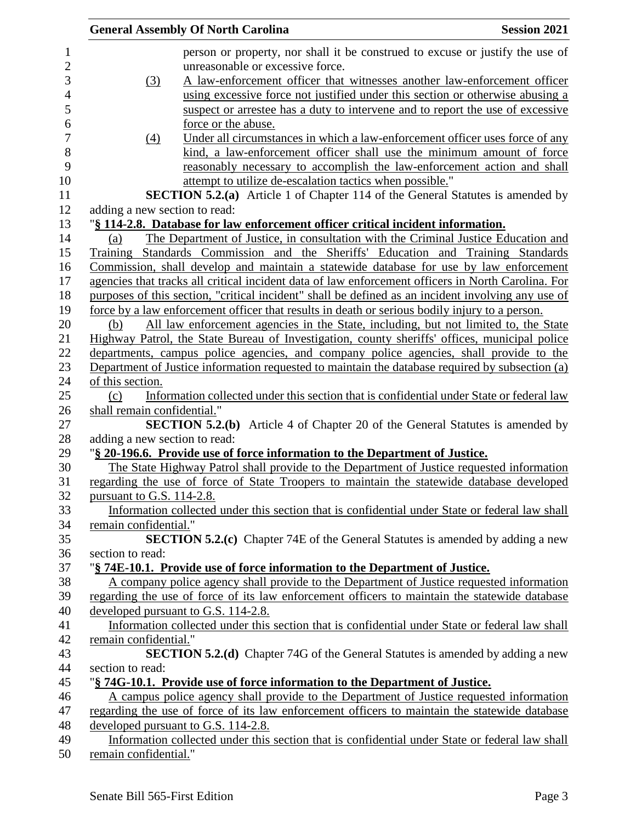|                             | <b>General Assembly Of North Carolina</b>                                                          | <b>Session 2021</b> |
|-----------------------------|----------------------------------------------------------------------------------------------------|---------------------|
|                             | person or property, nor shall it be construed to excuse or justify the use of                      |                     |
|                             | unreasonable or excessive force.                                                                   |                     |
| (3)                         | A law-enforcement officer that witnesses another law-enforcement officer                           |                     |
|                             | using excessive force not justified under this section or otherwise abusing a                      |                     |
|                             | suspect or arrestee has a duty to intervene and to report the use of excessive                     |                     |
|                             | force or the abuse.                                                                                |                     |
| (4)                         | Under all circumstances in which a law-enforcement officer uses force of any                       |                     |
|                             | kind, a law-enforcement officer shall use the minimum amount of force                              |                     |
|                             | reasonably necessary to accomplish the law-enforcement action and shall                            |                     |
|                             | attempt to utilize de-escalation tactics when possible."                                           |                     |
|                             | SECTION 5.2.(a) Article 1 of Chapter 114 of the General Statutes is amended by                     |                     |
|                             | adding a new section to read:                                                                      |                     |
|                             | "§ 114-2.8. Database for law enforcement officer critical incident information.                    |                     |
|                             |                                                                                                    |                     |
| (a)                         | The Department of Justice, in consultation with the Criminal Justice Education and                 |                     |
|                             | Training Standards Commission and the Sheriffs' Education and Training Standards                   |                     |
|                             | Commission, shall develop and maintain a statewide database for use by law enforcement             |                     |
|                             | agencies that tracks all critical incident data of law enforcement officers in North Carolina. For |                     |
|                             | purposes of this section, "critical incident" shall be defined as an incident involving any use of |                     |
|                             | force by a law enforcement officer that results in death or serious bodily injury to a person.     |                     |
| (b)                         | All law enforcement agencies in the State, including, but not limited to, the State                |                     |
|                             | Highway Patrol, the State Bureau of Investigation, county sheriffs' offices, municipal police      |                     |
|                             | departments, campus police agencies, and company police agencies, shall provide to the             |                     |
|                             | Department of Justice information requested to maintain the database required by subsection (a)    |                     |
| of this section.            |                                                                                                    |                     |
| (c)                         | Information collected under this section that is confidential under State or federal law           |                     |
| shall remain confidential." |                                                                                                    |                     |
|                             | <b>SECTION 5.2.(b)</b> Article 4 of Chapter 20 of the General Statutes is amended by               |                     |
|                             | adding a new section to read:                                                                      |                     |
|                             | "§ 20-196.6. Provide use of force information to the Department of Justice.                        |                     |
|                             | The State Highway Patrol shall provide to the Department of Justice requested information          |                     |
|                             | regarding the use of force of State Troopers to maintain the statewide database developed          |                     |
| pursuant to G.S. 114-2.8.   |                                                                                                    |                     |
|                             | Information collected under this section that is confidential under State or federal law shall     |                     |
| remain confidential."       |                                                                                                    |                     |
|                             | <b>SECTION 5.2.(c)</b> Chapter 74E of the General Statutes is amended by adding a new              |                     |
| section to read:            |                                                                                                    |                     |
|                             | "§ 74E-10.1. Provide use of force information to the Department of Justice.                        |                     |
|                             | A company police agency shall provide to the Department of Justice requested information           |                     |
|                             | regarding the use of force of its law enforcement officers to maintain the statewide database      |                     |
|                             | developed pursuant to G.S. 114-2.8.                                                                |                     |
|                             | Information collected under this section that is confidential under State or federal law shall     |                     |
| remain confidential."       |                                                                                                    |                     |
|                             | <b>SECTION 5.2.(d)</b> Chapter 74G of the General Statutes is amended by adding a new              |                     |
| section to read:            |                                                                                                    |                     |
|                             | "§ 74G-10.1. Provide use of force information to the Department of Justice.                        |                     |
|                             | A campus police agency shall provide to the Department of Justice requested information            |                     |
|                             | regarding the use of force of its law enforcement officers to maintain the statewide database      |                     |
|                             | developed pursuant to G.S. 114-2.8.                                                                |                     |
|                             | Information collected under this section that is confidential under State or federal law shall     |                     |
| remain confidential."       |                                                                                                    |                     |
|                             |                                                                                                    |                     |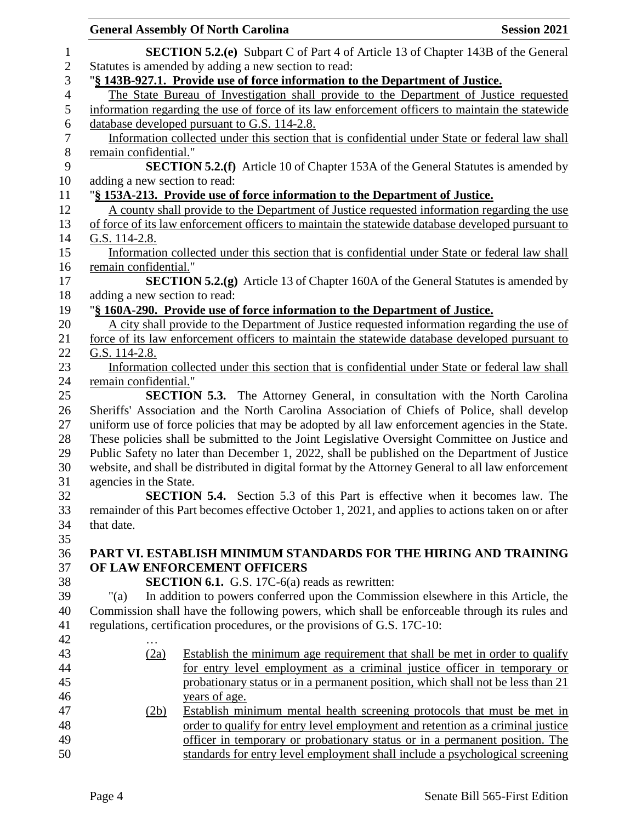|                               | <b>General Assembly Of North Carolina</b>                                                                                                                                        | <b>Session 2021</b> |
|-------------------------------|----------------------------------------------------------------------------------------------------------------------------------------------------------------------------------|---------------------|
|                               | <b>SECTION 5.2.(e)</b> Subpart C of Part 4 of Article 13 of Chapter 143B of the General                                                                                          |                     |
|                               | Statutes is amended by adding a new section to read:                                                                                                                             |                     |
|                               | "§ 143B-927.1. Provide use of force information to the Department of Justice.                                                                                                    |                     |
|                               | The State Bureau of Investigation shall provide to the Department of Justice requested                                                                                           |                     |
|                               | information regarding the use of force of its law enforcement officers to maintain the statewide                                                                                 |                     |
|                               | database developed pursuant to G.S. 114-2.8.                                                                                                                                     |                     |
|                               | Information collected under this section that is confidential under State or federal law shall                                                                                   |                     |
| remain confidential."         |                                                                                                                                                                                  |                     |
|                               | <b>SECTION 5.2.(f)</b> Article 10 of Chapter 153A of the General Statutes is amended by                                                                                          |                     |
| adding a new section to read: |                                                                                                                                                                                  |                     |
|                               | "§ 153A-213. Provide use of force information to the Department of Justice.                                                                                                      |                     |
|                               | A county shall provide to the Department of Justice requested information regarding the use                                                                                      |                     |
|                               | of force of its law enforcement officers to maintain the statewide database developed pursuant to                                                                                |                     |
| G.S. 114-2.8.                 |                                                                                                                                                                                  |                     |
|                               | Information collected under this section that is confidential under State or federal law shall                                                                                   |                     |
| remain confidential."         |                                                                                                                                                                                  |                     |
|                               | <b>SECTION 5.2.(g)</b> Article 13 of Chapter 160A of the General Statutes is amended by                                                                                          |                     |
| adding a new section to read: |                                                                                                                                                                                  |                     |
|                               |                                                                                                                                                                                  |                     |
|                               | "§ 160A-290. Provide use of force information to the Department of Justice.                                                                                                      |                     |
|                               | A city shall provide to the Department of Justice requested information regarding the use of                                                                                     |                     |
|                               | force of its law enforcement officers to maintain the statewide database developed pursuant to                                                                                   |                     |
| G.S. 114-2.8.                 |                                                                                                                                                                                  |                     |
|                               | Information collected under this section that is confidential under State or federal law shall                                                                                   |                     |
| remain confidential."         |                                                                                                                                                                                  |                     |
|                               | <b>SECTION 5.3.</b> The Attorney General, in consultation with the North Carolina<br>Sheriffs' Association and the North Carolina Association of Chiefs of Police, shall develop |                     |
|                               |                                                                                                                                                                                  |                     |
|                               | uniform use of force policies that may be adopted by all law enforcement agencies in the State.                                                                                  |                     |
|                               | These policies shall be submitted to the Joint Legislative Oversight Committee on Justice and                                                                                    |                     |
|                               | Public Safety no later than December 1, 2022, shall be published on the Department of Justice                                                                                    |                     |
|                               | website, and shall be distributed in digital format by the Attorney General to all law enforcement                                                                               |                     |
| agencies in the State.        |                                                                                                                                                                                  |                     |
|                               | <b>SECTION 5.4.</b> Section 5.3 of this Part is effective when it becomes law. The                                                                                               |                     |
|                               | remainder of this Part becomes effective October 1, 2021, and applies to actions taken on or after                                                                               |                     |
| that date.                    |                                                                                                                                                                                  |                     |
|                               |                                                                                                                                                                                  |                     |
|                               | PART VI. ESTABLISH MINIMUM STANDARDS FOR THE HIRING AND TRAINING                                                                                                                 |                     |
|                               | OF LAW ENFORCEMENT OFFICERS                                                                                                                                                      |                     |
|                               | <b>SECTION 6.1.</b> G.S. 17C-6(a) reads as rewritten:                                                                                                                            |                     |
| " $(a)$                       | In addition to powers conferred upon the Commission elsewhere in this Article, the                                                                                               |                     |
|                               | Commission shall have the following powers, which shall be enforceable through its rules and                                                                                     |                     |
|                               | regulations, certification procedures, or the provisions of G.S. 17C-10:                                                                                                         |                     |
|                               |                                                                                                                                                                                  |                     |
| (2a)                          | Establish the minimum age requirement that shall be met in order to qualify                                                                                                      |                     |
|                               | for entry level employment as a criminal justice officer in temporary or                                                                                                         |                     |
|                               | probationary status or in a permanent position, which shall not be less than 21                                                                                                  |                     |
|                               | years of age.                                                                                                                                                                    |                     |
| (2b)                          | Establish minimum mental health screening protocols that must be met in                                                                                                          |                     |
|                               | order to qualify for entry level employment and retention as a criminal justice                                                                                                  |                     |
|                               | officer in temporary or probationary status or in a permanent position. The                                                                                                      |                     |
|                               | standards for entry level employment shall include a psychological screening                                                                                                     |                     |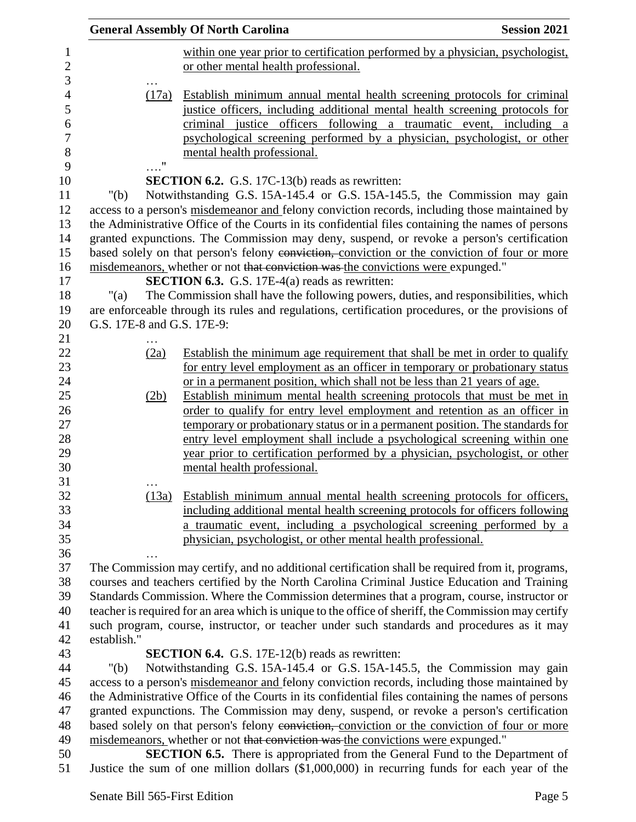|                                                      |                            | <b>General Assembly Of North Carolina</b>                                                                                                                                                                                                                                                                                       | <b>Session 2021</b> |
|------------------------------------------------------|----------------------------|---------------------------------------------------------------------------------------------------------------------------------------------------------------------------------------------------------------------------------------------------------------------------------------------------------------------------------|---------------------|
| $\mathbf{1}$                                         |                            | within one year prior to certification performed by a physician, psychologist,                                                                                                                                                                                                                                                  |                     |
| $\boldsymbol{2}$                                     |                            | or other mental health professional.                                                                                                                                                                                                                                                                                            |                     |
| 3<br>$\overline{4}$<br>5<br>6<br>$\overline{7}$<br>8 | (17a)                      | Establish minimum annual mental health screening protocols for criminal<br>justice officers, including additional mental health screening protocols for<br>justice officers following a traumatic event,<br>criminal<br>psychological screening performed by a physician, psychologist, or other<br>mental health professional. | including a         |
| 9                                                    | $\ldots$ "                 |                                                                                                                                                                                                                                                                                                                                 |                     |
| 10                                                   |                            | <b>SECTION 6.2.</b> G.S. 17C-13(b) reads as rewritten:                                                                                                                                                                                                                                                                          |                     |
| 11                                                   | " $(b)$                    | Notwithstanding G.S. 15A-145.4 or G.S. 15A-145.5, the Commission may gain                                                                                                                                                                                                                                                       |                     |
| 12                                                   |                            | access to a person's misdemeanor and felony conviction records, including those maintained by                                                                                                                                                                                                                                   |                     |
| 13                                                   |                            | the Administrative Office of the Courts in its confidential files containing the names of persons                                                                                                                                                                                                                               |                     |
| 14                                                   |                            | granted expunctions. The Commission may deny, suspend, or revoke a person's certification                                                                                                                                                                                                                                       |                     |
| 15                                                   |                            | based solely on that person's felony conviction, conviction or the conviction of four or more                                                                                                                                                                                                                                   |                     |
| 16                                                   |                            | misdemeanors, whether or not that conviction was the convictions were expunged."                                                                                                                                                                                                                                                |                     |
| 17                                                   |                            | <b>SECTION 6.3.</b> G.S. 17E-4(a) reads as rewritten:                                                                                                                                                                                                                                                                           |                     |
| 18<br>19                                             | " $(a)$                    | The Commission shall have the following powers, duties, and responsibilities, which                                                                                                                                                                                                                                             |                     |
| 20                                                   | G.S. 17E-8 and G.S. 17E-9: | are enforceable through its rules and regulations, certification procedures, or the provisions of                                                                                                                                                                                                                               |                     |
| 21                                                   |                            |                                                                                                                                                                                                                                                                                                                                 |                     |
| 22                                                   | (2a)                       | Establish the minimum age requirement that shall be met in order to qualify                                                                                                                                                                                                                                                     |                     |
| 23                                                   |                            | for entry level employment as an officer in temporary or probationary status                                                                                                                                                                                                                                                    |                     |
| 24                                                   |                            | or in a permanent position, which shall not be less than 21 years of age.                                                                                                                                                                                                                                                       |                     |
| 25                                                   | (2b)                       | Establish minimum mental health screening protocols that must be met in                                                                                                                                                                                                                                                         |                     |
| 26                                                   |                            | order to qualify for entry level employment and retention as an officer in                                                                                                                                                                                                                                                      |                     |
| 27                                                   |                            | temporary or probationary status or in a permanent position. The standards for                                                                                                                                                                                                                                                  |                     |
| 28                                                   |                            | entry level employment shall include a psychological screening within one                                                                                                                                                                                                                                                       |                     |
| 29                                                   |                            | year prior to certification performed by a physician, psychologist, or other                                                                                                                                                                                                                                                    |                     |
| 30                                                   |                            | mental health professional.                                                                                                                                                                                                                                                                                                     |                     |
| 31                                                   |                            |                                                                                                                                                                                                                                                                                                                                 |                     |
| 32                                                   | (13a)                      | Establish minimum annual mental health screening protocols for officers,                                                                                                                                                                                                                                                        |                     |
| 33                                                   |                            | including additional mental health screening protocols for officers following                                                                                                                                                                                                                                                   |                     |
| 34                                                   |                            | a traumatic event, including a psychological screening performed by a                                                                                                                                                                                                                                                           |                     |
| 35                                                   |                            | physician, psychologist, or other mental health professional.                                                                                                                                                                                                                                                                   |                     |
| 36                                                   |                            |                                                                                                                                                                                                                                                                                                                                 |                     |
| 37                                                   |                            | The Commission may certify, and no additional certification shall be required from it, programs,                                                                                                                                                                                                                                |                     |
| 38                                                   |                            | courses and teachers certified by the North Carolina Criminal Justice Education and Training                                                                                                                                                                                                                                    |                     |
| 39                                                   |                            | Standards Commission. Where the Commission determines that a program, course, instructor or                                                                                                                                                                                                                                     |                     |
| 40<br>41                                             |                            | teacher is required for an area which is unique to the office of sheriff, the Commission may certify                                                                                                                                                                                                                            |                     |
| 42                                                   | establish."                | such program, course, instructor, or teacher under such standards and procedures as it may                                                                                                                                                                                                                                      |                     |
| 43                                                   |                            | <b>SECTION 6.4.</b> G.S. 17E-12(b) reads as rewritten:                                                                                                                                                                                                                                                                          |                     |
| 44                                                   | " $(b)$                    | Notwithstanding G.S. 15A-145.4 or G.S. 15A-145.5, the Commission may gain                                                                                                                                                                                                                                                       |                     |
| 45                                                   |                            | access to a person's misdemeanor and felony conviction records, including those maintained by                                                                                                                                                                                                                                   |                     |
| 46                                                   |                            | the Administrative Office of the Courts in its confidential files containing the names of persons                                                                                                                                                                                                                               |                     |
| 47                                                   |                            | granted expunctions. The Commission may deny, suspend, or revoke a person's certification                                                                                                                                                                                                                                       |                     |
| 48                                                   |                            | based solely on that person's felony conviction, conviction or the conviction of four or more                                                                                                                                                                                                                                   |                     |
| 49                                                   |                            | misdemeanors, whether or not that conviction was the convictions were expunged."                                                                                                                                                                                                                                                |                     |
| 50                                                   |                            | <b>SECTION 6.5.</b> There is appropriated from the General Fund to the Department of                                                                                                                                                                                                                                            |                     |
| 51                                                   |                            | Justice the sum of one million dollars $(\$1,000,000)$ in recurring funds for each year of the                                                                                                                                                                                                                                  |                     |